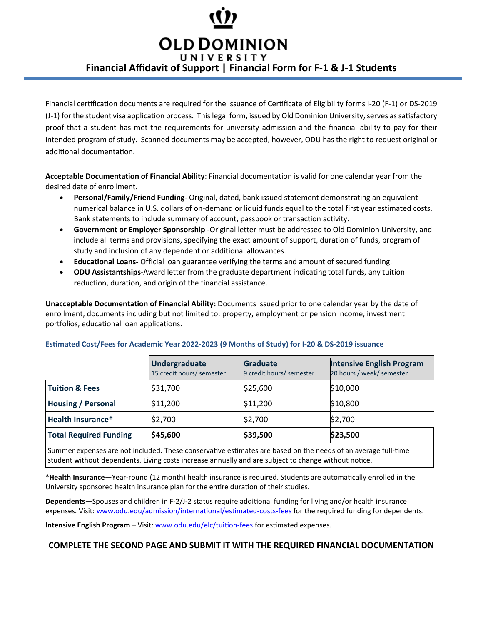## **OLD DOMINION**

UNIVERSITY **Financial Affidavit of Support | Financial Form for F-1 & J-1 Students**

Financial certification documents are required for the issuance of Certificate of Eligibility forms I-20 (F-1) or DS-2019 (J-1) for the student visa application process. This legal form, issued by Old Dominion University, serves as satisfactory proof that a student has met the requirements for university admission and the financial ability to pay for their intended program of study. Scanned documents may be accepted, however, ODU has the right to request original or additional documentation.

**Acceptable Documentation of Financial Ability**: Financial documentation is valid for one calendar year from the desired date of enrollment.

- **Personal/Family/Friend Funding** Original, dated, bank issued statement demonstrating an equivalent numerical balance in U.S. dollars of on-demand or liquid funds equal to the total first year estimated costs. Bank statements to include summary of account, passbook or transaction activity.
- **Government or Employer Sponsorship -**Original letter must be addressed to Old Dominion University, and include all terms and provisions, specifying the exact amount of support, duration of funds, program of study and inclusion of any dependent or additional allowances.
- **Educational Loans** Official loan guarantee verifying the terms and amount of secured funding.
- **ODU Assistantships**-Award letter from the graduate department indicating total funds, any tuition reduction, duration, and origin of the financial assistance.

**Unacceptable Documentation of Financial Ability:** Documents issued prior to one calendar year by the date of enrollment, documents including but not limited to: property, employment or pension income, investment portfolios, educational loan applications.

|                                                                                                               | Undergraduate<br>15 credit hours/ semester | <b>Graduate</b><br>9 credit hours/ semester | <b>Intensive English Program</b><br>20 hours / week/ semester |
|---------------------------------------------------------------------------------------------------------------|--------------------------------------------|---------------------------------------------|---------------------------------------------------------------|
| <b>Tuition &amp; Fees</b>                                                                                     | \$31,700                                   | \$25,600                                    | \$10,000                                                      |
| <b>Housing / Personal</b>                                                                                     | \$11,200                                   | \$11,200                                    | \$10,800                                                      |
| <b>Health Insurance*</b>                                                                                      | \$2,700                                    | \$2,700                                     | \$2,700                                                       |
| <b>Total Required Funding</b>                                                                                 | \$45,600                                   | \$39,500                                    | \$23,500                                                      |
| Summer expenses are not included. These conservative estimates are based on the needs of an average full-time |                                            |                                             |                                                               |

## **Es�mated Cost/Fees for Academic Year 2022-2023 (9 Months of Study) for I-20 & DS-2019 issuance**

**\*Health Insurance**—Year-round (12 month) health insurance is required. Students are automa�cally enrolled in the University sponsored health insurance plan for the entire duration of their studies.

student without dependents. Living costs increase annually and are subject to change without notice.

**Dependents**—Spouses and children in F-2/J-2 status require addi�onal funding for living and/or health insurance expenses. Visit: www.odu.edu/admission/international/estimated-costs-fees for the required funding for dependents.

**Intensive English Program** – Visit: www.odu.edu/elc/tuition-fees for estimated expenses.

## **COMPLETE THE SECOND PAGE AND SUBMIT IT WITH THE REQUIRED FINANCIAL DOCUMENTATION**